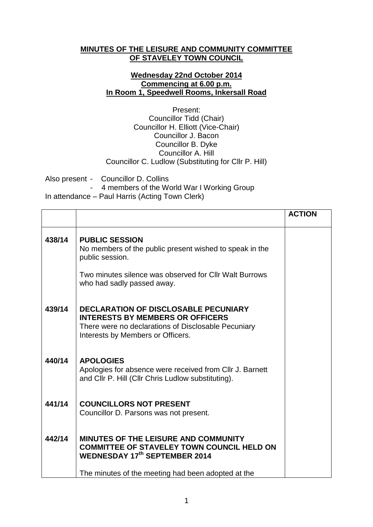## **MINUTES OF THE LEISURE AND COMMUNITY COMMITTEE OF STAVELEY TOWN COUNCIL**

## **Wednesday 22nd October 2014 Commencing at 6.00 p.m. In Room 1, Speedwell Rooms, Inkersall Road**

Present: Councillor Tidd (Chair) Councillor H. Elliott (Vice-Chair) Councillor J. Bacon Councillor B. Dyke Councillor A. Hill Councillor C. Ludlow (Substituting for Cllr P. Hill)

Also present - Councillor D. Collins - 4 members of the World War I Working Group In attendance – Paul Harris (Acting Town Clerk)

|        |                                                                                                                                                                                    | <b>ACTION</b> |
|--------|------------------------------------------------------------------------------------------------------------------------------------------------------------------------------------|---------------|
| 438/14 | <b>PUBLIC SESSION</b><br>No members of the public present wished to speak in the<br>public session.                                                                                |               |
|        | Two minutes silence was observed for Cllr Walt Burrows<br>who had sadly passed away.                                                                                               |               |
| 439/14 | <b>DECLARATION OF DISCLOSABLE PECUNIARY</b><br><b>INTERESTS BY MEMBERS OR OFFICERS</b><br>There were no declarations of Disclosable Pecuniary<br>Interests by Members or Officers. |               |
| 440/14 | <b>APOLOGIES</b><br>Apologies for absence were received from CIIr J. Barnett<br>and Cllr P. Hill (Cllr Chris Ludlow substituting).                                                 |               |
| 441/14 | <b>COUNCILLORS NOT PRESENT</b><br>Councillor D. Parsons was not present.                                                                                                           |               |
| 442/14 | <b>MINUTES OF THE LEISURE AND COMMUNITY</b><br><b>COMMITTEE OF STAVELEY TOWN COUNCIL HELD ON</b><br><b>WEDNESDAY 17th SEPTEMBER 2014</b>                                           |               |
|        | The minutes of the meeting had been adopted at the                                                                                                                                 |               |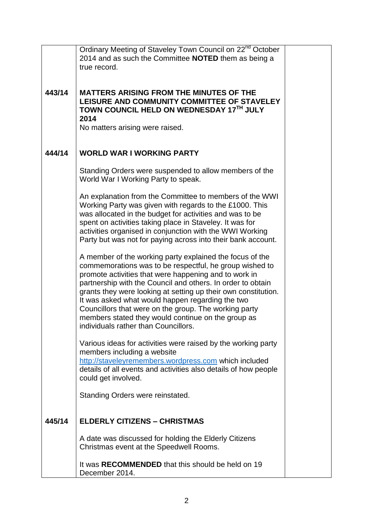|        | Ordinary Meeting of Staveley Town Council on 22 <sup>nd</sup> October                                                                                                                                                                                                                                                                                                                                                                                                                                                    |  |
|--------|--------------------------------------------------------------------------------------------------------------------------------------------------------------------------------------------------------------------------------------------------------------------------------------------------------------------------------------------------------------------------------------------------------------------------------------------------------------------------------------------------------------------------|--|
|        | 2014 and as such the Committee NOTED them as being a<br>true record.                                                                                                                                                                                                                                                                                                                                                                                                                                                     |  |
|        |                                                                                                                                                                                                                                                                                                                                                                                                                                                                                                                          |  |
| 443/14 | <b>MATTERS ARISING FROM THE MINUTES OF THE</b><br>LEISURE AND COMMUNITY COMMITTEE OF STAVELEY<br>TOWN COUNCIL HELD ON WEDNESDAY 17TH JULY<br>2014<br>No matters arising were raised.                                                                                                                                                                                                                                                                                                                                     |  |
| 444/14 | <b>WORLD WAR I WORKING PARTY</b>                                                                                                                                                                                                                                                                                                                                                                                                                                                                                         |  |
|        | Standing Orders were suspended to allow members of the<br>World War I Working Party to speak.                                                                                                                                                                                                                                                                                                                                                                                                                            |  |
|        | An explanation from the Committee to members of the WWI<br>Working Party was given with regards to the £1000. This<br>was allocated in the budget for activities and was to be<br>spent on activities taking place in Staveley. It was for<br>activities organised in conjunction with the WWI Working<br>Party but was not for paying across into their bank account.                                                                                                                                                   |  |
|        | A member of the working party explained the focus of the<br>commemorations was to be respectful, he group wished to<br>promote activities that were happening and to work in<br>partnership with the Council and others. In order to obtain<br>grants they were looking at setting up their own constitution.<br>It was asked what would happen regarding the two<br>Councillors that were on the group. The working party<br>members stated they would continue on the group as<br>individuals rather than Councillors. |  |
|        | Various ideas for activities were raised by the working party<br>members including a website<br>http://staveleyremembers.wordpress.com which included<br>details of all events and activities also details of how people<br>could get involved.                                                                                                                                                                                                                                                                          |  |
|        | Standing Orders were reinstated.                                                                                                                                                                                                                                                                                                                                                                                                                                                                                         |  |
| 445/14 | <b>ELDERLY CITIZENS - CHRISTMAS</b>                                                                                                                                                                                                                                                                                                                                                                                                                                                                                      |  |
|        | A date was discussed for holding the Elderly Citizens<br>Christmas event at the Speedwell Rooms.                                                                                                                                                                                                                                                                                                                                                                                                                         |  |
|        | It was RECOMMENDED that this should be held on 19<br>December 2014.                                                                                                                                                                                                                                                                                                                                                                                                                                                      |  |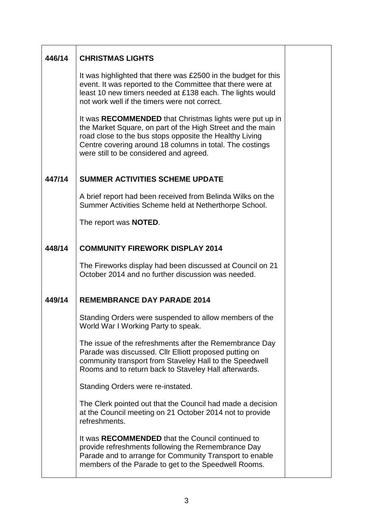| 446/14 | <b>CHRISTMAS LIGHTS</b>                                                                                                                                                                                                                                                                 |  |
|--------|-----------------------------------------------------------------------------------------------------------------------------------------------------------------------------------------------------------------------------------------------------------------------------------------|--|
|        | It was highlighted that there was £2500 in the budget for this<br>event. It was reported to the Committee that there were at<br>least 10 new timers needed at £138 each. The lights would<br>not work well if the timers were not correct.                                              |  |
|        | It was RECOMMENDED that Christmas lights were put up in<br>the Market Square, on part of the High Street and the main<br>road close to the bus stops opposite the Healthy Living<br>Centre covering around 18 columns in total. The costings<br>were still to be considered and agreed. |  |
| 447/14 | <b>SUMMER ACTIVITIES SCHEME UPDATE</b>                                                                                                                                                                                                                                                  |  |
|        | A brief report had been received from Belinda Wilks on the<br>Summer Activities Scheme held at Netherthorpe School.                                                                                                                                                                     |  |
|        | The report was <b>NOTED</b> .                                                                                                                                                                                                                                                           |  |
| 448/14 | <b>COMMUNITY FIREWORK DISPLAY 2014</b>                                                                                                                                                                                                                                                  |  |
|        | The Fireworks display had been discussed at Council on 21<br>October 2014 and no further discussion was needed.                                                                                                                                                                         |  |
| 449/14 | <b>REMEMBRANCE DAY PARADE 2014</b>                                                                                                                                                                                                                                                      |  |
|        | Standing Orders were suspended to allow members of the<br>World War I Working Party to speak.                                                                                                                                                                                           |  |
|        | The issue of the refreshments after the Remembrance Day<br>Parade was discussed. Cllr Elliott proposed putting on<br>community transport from Staveley Hall to the Speedwell<br>Rooms and to return back to Staveley Hall afterwards.                                                   |  |
|        | Standing Orders were re-instated.                                                                                                                                                                                                                                                       |  |
|        | The Clerk pointed out that the Council had made a decision<br>at the Council meeting on 21 October 2014 not to provide<br>refreshments.                                                                                                                                                 |  |
|        | It was RECOMMENDED that the Council continued to<br>provide refreshments following the Remembrance Day<br>Parade and to arrange for Community Transport to enable<br>members of the Parade to get to the Speedwell Rooms.                                                               |  |